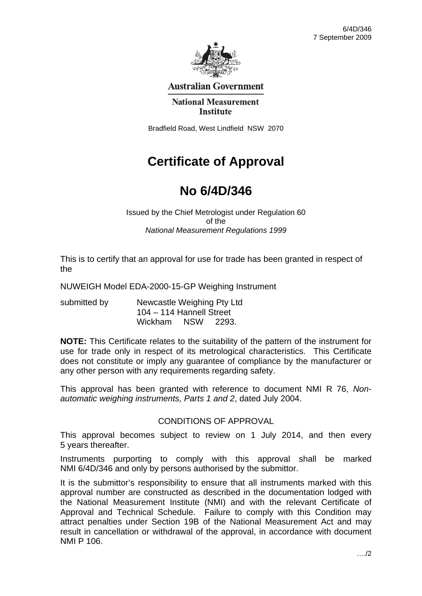

# **Australian Government**

#### **National Measurement Institute**

Bradfield Road, West Lindfield NSW 2070

# **Certificate of Approval**

# **No 6/4D/346**

Issued by the Chief Metrologist under Regulation 60 of the *National Measurement Regulations 1999* 

This is to certify that an approval for use for trade has been granted in respect of the

NUWEIGH Model EDA-2000-15-GP Weighing Instrument

submitted by **Newcastle Weighing Pty Ltd**  104 – 114 Hannell Street Wickham NSW 2293.

**NOTE:** This Certificate relates to the suitability of the pattern of the instrument for use for trade only in respect of its metrological characteristics. This Certificate does not constitute or imply any guarantee of compliance by the manufacturer or any other person with any requirements regarding safety.

This approval has been granted with reference to document NMI R 76, *Nonautomatic weighing instruments, Parts 1 and 2*, dated July 2004.

### CONDITIONS OF APPROVAL

This approval becomes subject to review on 1 July 2014, and then every 5 years thereafter.

Instruments purporting to comply with this approval shall be marked NMI 6/4D/346 and only by persons authorised by the submittor.

It is the submittor's responsibility to ensure that all instruments marked with this approval number are constructed as described in the documentation lodged with the National Measurement Institute (NMI) and with the relevant Certificate of Approval and Technical Schedule. Failure to comply with this Condition may attract penalties under Section 19B of the National Measurement Act and may result in cancellation or withdrawal of the approval, in accordance with document NMI P 106.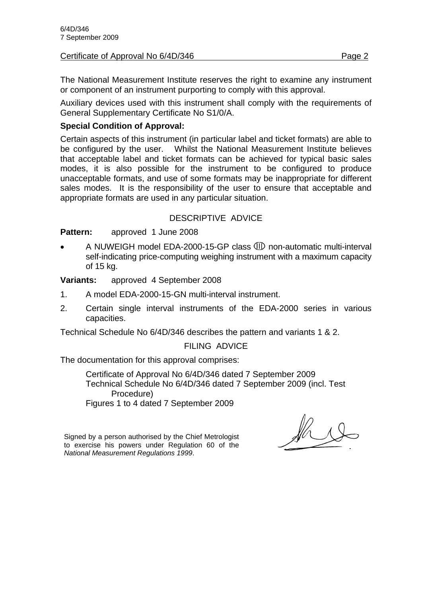#### Certificate of Approval No 6/4D/346 **Page 2** Page 2

The National Measurement Institute reserves the right to examine any instrument or component of an instrument purporting to comply with this approval.

Auxiliary devices used with this instrument shall comply with the requirements of General Supplementary Certificate No S1/0/A.

# **Special Condition of Approval:**

Certain aspects of this instrument (in particular label and ticket formats) are able to be configured by the user. Whilst the National Measurement Institute believes that acceptable label and ticket formats can be achieved for typical basic sales modes, it is also possible for the instrument to be configured to produce unacceptable formats, and use of some formats may be inappropriate for different sales modes. It is the responsibility of the user to ensure that acceptable and appropriate formats are used in any particular situation.

# DESCRIPTIVE ADVICE

**Pattern:** approved 1 June 2008

A NUWEIGH model EDA-2000-15-GP class **ID** non-automatic multi-interval self-indicating price-computing weighing instrument with a maximum capacity of 15 kg.

**Variants:** approved 4 September 2008

- 1. A model EDA-2000-15-GN multi-interval instrument.
- 2. Certain single interval instruments of the EDA-2000 series in various capacities.

Technical Schedule No 6/4D/346 describes the pattern and variants 1 & 2.

### FILING ADVICE

The documentation for this approval comprises:

 Certificate of Approval No 6/4D/346 dated 7 September 2009 Technical Schedule No 6/4D/346 dated 7 September 2009 (incl. Test Procedure) Figures 1 to 4 dated 7 September 2009

Signed by a person authorised by the Chief Metrologist to exercise his powers under Regulation 60 of the *National Measurement Regulations 1999*.

 $\frac{1}{\sqrt{2}}$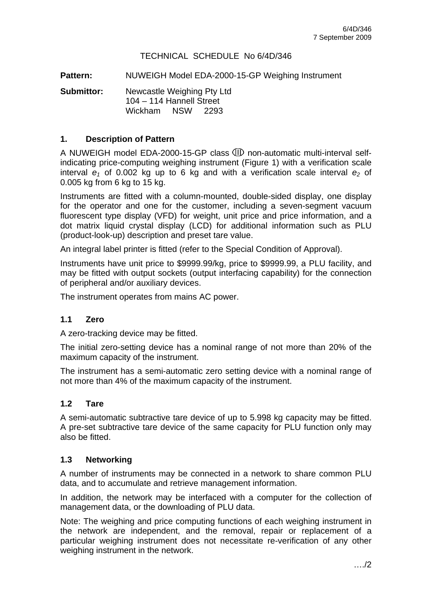# TECHNICAL SCHEDULE No 6/4D/346

**Pattern:** NUWEIGH Model EDA-2000-15-GP Weighing Instrument

**Submittor:** Newcastle Weighing Pty Ltd 104 – 114 Hannell Street Wickham NSW 2293

### **1. Description of Pattern**

A NUWEIGH model EDA-2000-15-GP class **W** non-automatic multi-interval selfindicating price-computing weighing instrument (Figure 1) with a verification scale interval  $e_1$  of 0.002 kg up to 6 kg and with a verification scale interval  $e_2$  of 0.005 kg from 6 kg to 15 kg.

Instruments are fitted with a column-mounted, double-sided display, one display for the operator and one for the customer, including a seven-segment vacuum fluorescent type display (VFD) for weight, unit price and price information, and a dot matrix liquid crystal display (LCD) for additional information such as PLU (product-look-up) description and preset tare value.

An integral label printer is fitted (refer to the Special Condition of Approval).

Instruments have unit price to \$9999.99/kg, price to \$9999.99, a PLU facility, and may be fitted with output sockets (output interfacing capability) for the connection of peripheral and/or auxiliary devices.

The instrument operates from mains AC power.

### **1.1 Zero**

A zero-tracking device may be fitted.

The initial zero-setting device has a nominal range of not more than 20% of the maximum capacity of the instrument.

The instrument has a semi-automatic zero setting device with a nominal range of not more than 4% of the maximum capacity of the instrument.

### **1.2 Tare**

A semi-automatic subtractive tare device of up to 5.998 kg capacity may be fitted. A pre-set subtractive tare device of the same capacity for PLU function only may also be fitted.

#### **1.3 Networking**

A number of instruments may be connected in a network to share common PLU data, and to accumulate and retrieve management information.

In addition, the network may be interfaced with a computer for the collection of management data, or the downloading of PLU data.

Note: The weighing and price computing functions of each weighing instrument in the network are independent, and the removal, repair or replacement of a particular weighing instrument does not necessitate re-verification of any other weighing instrument in the network.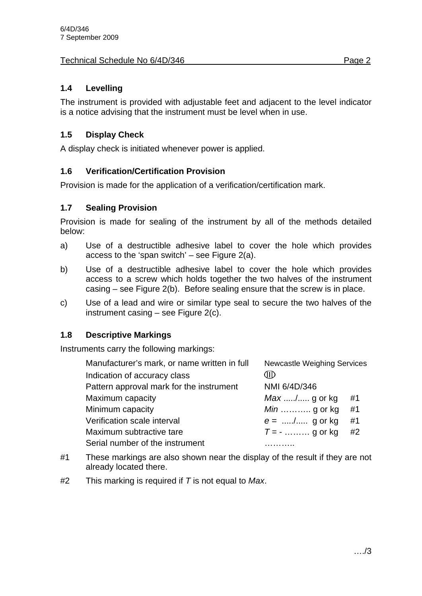# Technical Schedule No 6/4D/346 **Page 2**

# **1.4 Levelling**

The instrument is provided with adjustable feet and adjacent to the level indicator is a notice advising that the instrument must be level when in use.

# **1.5 Display Check**

A display check is initiated whenever power is applied.

# **1.6 Verification/Certification Provision**

Provision is made for the application of a verification/certification mark.

# **1.7 Sealing Provision**

Provision is made for sealing of the instrument by all of the methods detailed below:

- a) Use of a destructible adhesive label to cover the hole which provides access to the 'span switch' – see Figure  $2(a)$ .
- b) Use of a destructible adhesive label to cover the hole which provides access to a screw which holds together the two halves of the instrument casing – see Figure 2(b). Before sealing ensure that the screw is in place.
- c) Use of a lead and wire or similar type seal to secure the two halves of the instrument casing – see Figure 2(c).

# **1.8 Descriptive Markings**

Instruments carry the following markings:

| Manufacturer's mark, or name written in full | <b>Newcastle Weighing Services</b> |    |
|----------------------------------------------|------------------------------------|----|
| Indication of accuracy class                 | ЗЮ                                 |    |
| Pattern approval mark for the instrument     | NMI 6/4D/346                       |    |
| Maximum capacity                             | $Max$ / g or kg                    | #1 |
| Minimum capacity                             | <i>Min</i> g or kg                 | #1 |
| Verification scale interval                  | $e =$ / g or kg                    | #1 |
| Maximum subtractive tare                     | $T = -$ g or kg                    | #2 |
| Serial number of the instrument              |                                    |    |

- #1 These markings are also shown near the display of the result if they are not already located there.
- #2 This marking is required if *T* is not equal to *Max*.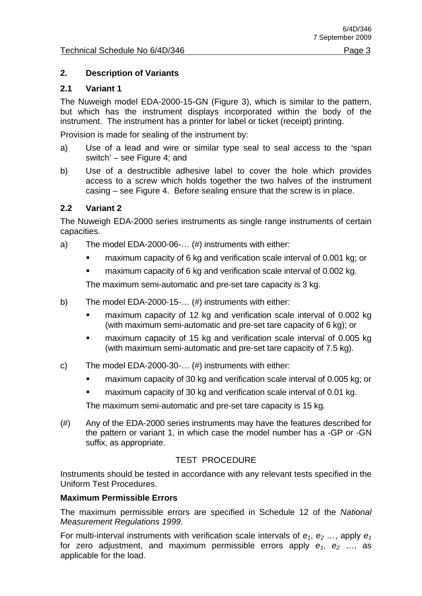## **2. Description of Variants**

## **2.1 Variant 1**

The Nuweigh model EDA-2000-15-GN (Figure 3), which is similar to the pattern, but which has the instrument displays incorporated within the body of the instrument. The instrument has a printer for label or ticket (receipt) printing.

Provision is made for sealing of the instrument by:

- a) Use of a lead and wire or similar type seal to seal access to the 'span switch' – see Figure 4; and
- b) Use of a destructible adhesive label to cover the hole which provides access to a screw which holds together the two halves of the instrument casing – see Figure 4. Before sealing ensure that the screw is in place.

### **2.2 Variant 2**

The Nuweigh EDA-2000 series instruments as single range instruments of certain capacities.

- a) The model EDA-2000-06-… (#) instruments with either:
	- maximum capacity of 6 kg and verification scale interval of 0.001 kg; or
	- maximum capacity of 6 kg and verification scale interval of 0.002 kg.

The maximum semi-automatic and pre-set tare capacity is 3 kg.

- b) The model EDA-2000-15-… (#) instruments with either:
	- **EXECUTE:** maximum capacity of 12 kg and verification scale interval of 0.002 kg (with maximum semi-automatic and pre-set tare capacity of 6 kg); or
	- maximum capacity of 15 kg and verification scale interval of 0.005 kg (with maximum semi-automatic and pre-set tare capacity of 7.5 kg).
- c) The model EDA-2000-30-… (#) instruments with either:
	- **EXECT** maximum capacity of 30 kg and verification scale interval of 0.005 kg; or
	- maximum capacity of 30 kg and verification scale interval of 0.01 kg.

The maximum semi-automatic and pre-set tare capacity is 15 kg.

(#) Any of the EDA-2000 series instruments may have the features described for the pattern or variant 1, in which case the model number has a -GP or -GN suffix, as appropriate.

### TEST PROCEDURE

Instruments should be tested in accordance with any relevant tests specified in the Uniform Test Procedures.

### **Maximum Permissible Errors**

The maximum permissible errors are specified in Schedule 12 of the *National Measurement Regulations 1999*.

For multi-interval instruments with verification scale intervals of  $e_1$ ,  $e_2$  ..., apply  $e_1$ for zero adjustment, and maximum permissible errors apply  $e_1$ ,  $e_2$  ..., as applicable for the load.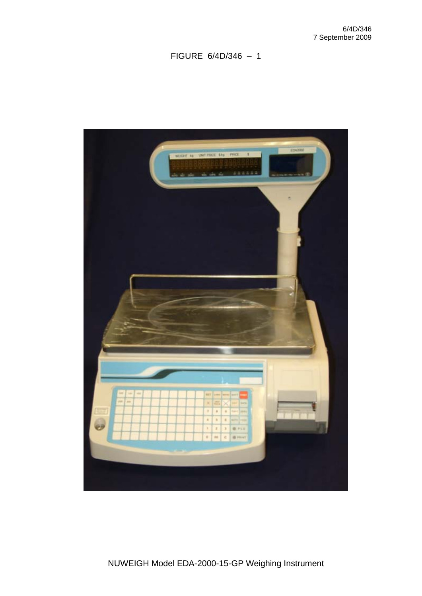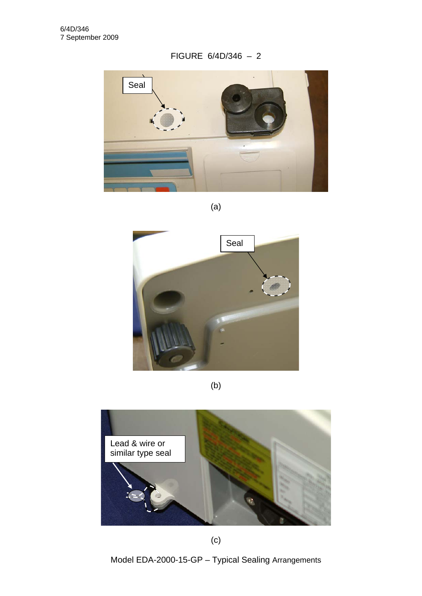

(a)



(b)



(c)

Model EDA-2000-15-GP – Typical Sealing Arrangements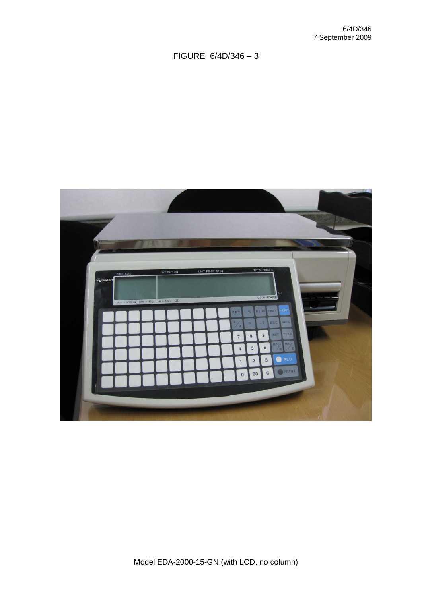